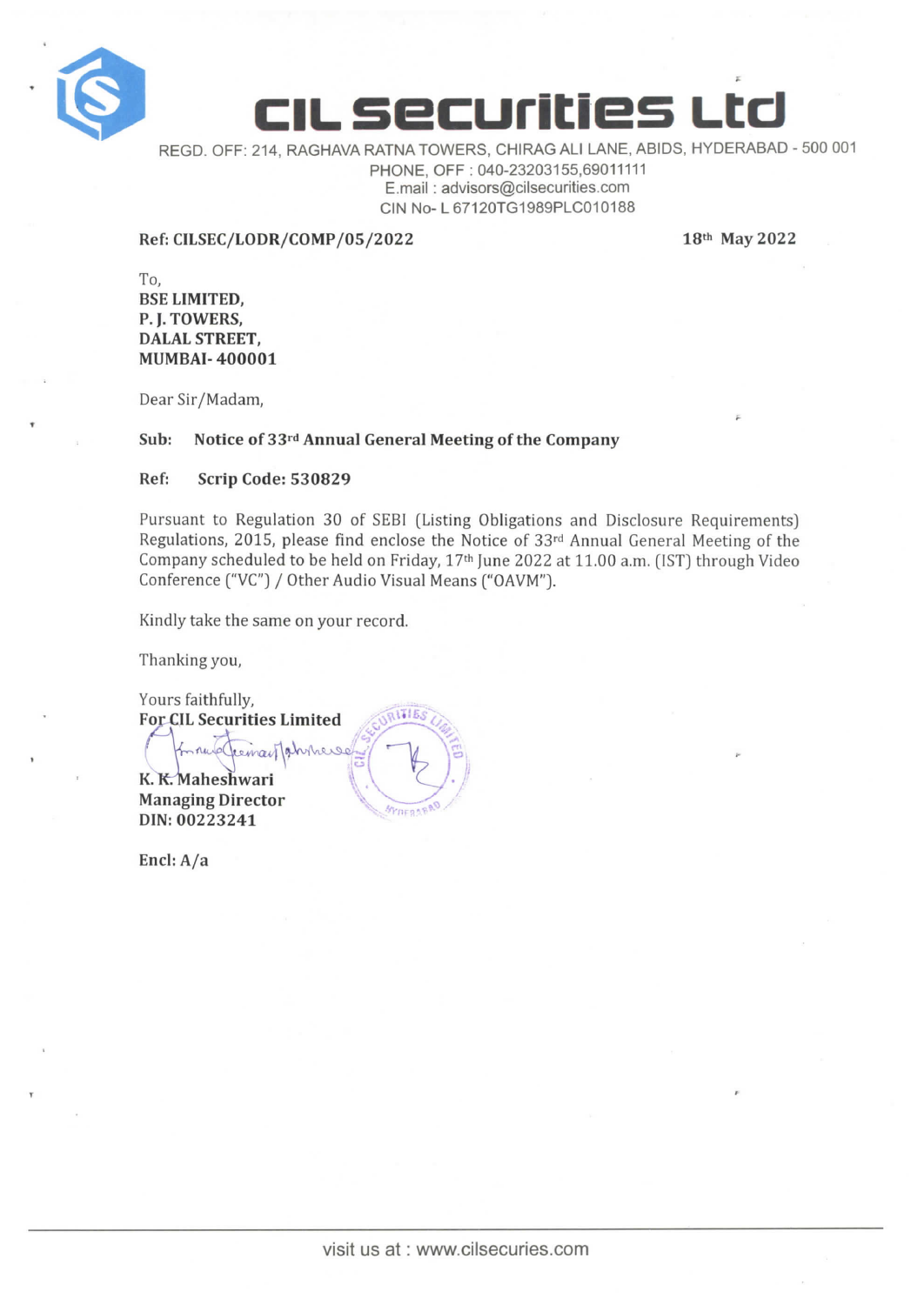



REGD. OFF: 214, RAGHAVA RATNA TOWERS, CHIRAG All LANE, ABIDS, HYDERABAD -500 001 PHONE, OFF : 040-23203155,69011111 E.mail : advisors@cilsecurities,com CIN No-L 67120TG1989PLC010188

Ref: CILSEC/LODR/COMP/05/2022 18th May 2022

F

T<sub>o</sub>. BSE LIMITED, P. I. TOWERS, DALAL STREET, MUMBAI-400001

Dear sir/Madam,

# Sub: Notice of 33<sup>rd</sup> Annual General Meeting of the Company

# Ref: Scrip Code: 530829

Pursuant to Regulation 30 of SEBI (Listing Obligations and Disclosure Requirements) Regulations, 2015, please find enclose the Notice of 33rd Annual General Meeting of the Company scheduled to be held on Friday, 17<sup>th</sup> June 2022 at 11.00 a.m. (IST) through Video Conference ("VC'') / Other Audio Visual Means ("OAVM").

Kindly take the same on your record.

Thanking you,

Yours faithfully, **For CIL Securities Limited** In rue Cremail Jahrrense K. K. Maheshwari Managing Director **SYDERABAO** DIN: 00223241

Encl: A/a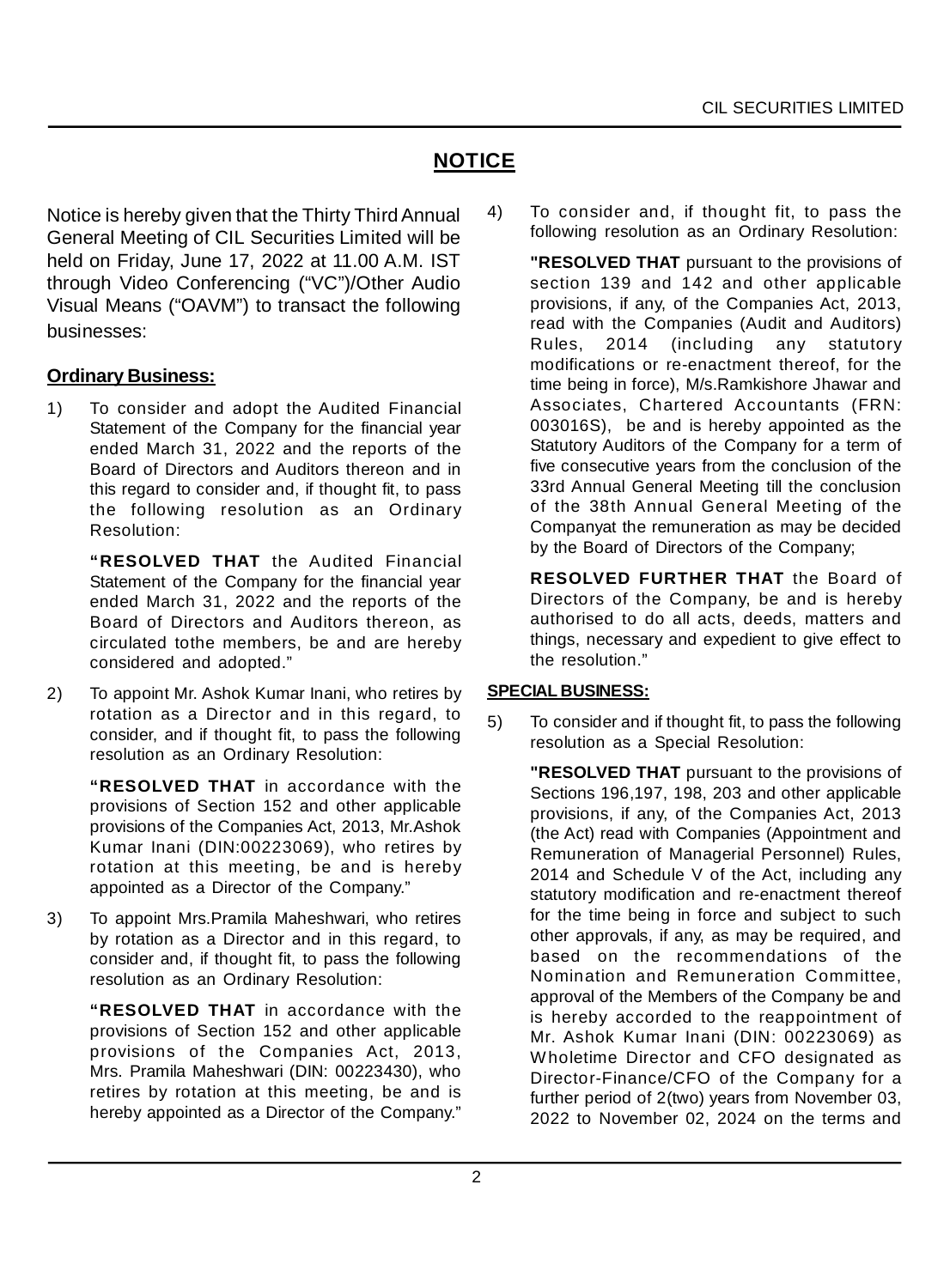# **NOTICE**

Notice is hereby given that the Thirty Third Annual General Meeting of CIL Securities Limited will be held on Friday, June 17, 2022 at 11.00 A.M. IST through Video Conferencing ("VC")/Other Audio Visual Means ("OAVM") to transact the following businesses:

# **Ordinary Business:**

1) To consider and adopt the Audited Financial Statement of the Company for the financial year ended March 31, 2022 and the reports of the Board of Directors and Auditors thereon and in this regard to consider and, if thought fit, to pass the following resolution as an Ordinary Resolution:

**"RESOLVED THAT** the Audited Financial Statement of the Company for the financial year ended March 31, 2022 and the reports of the Board of Directors and Auditors thereon, as circulated tothe members, be and are hereby considered and adopted."

2) To appoint Mr. Ashok Kumar Inani, who retires by rotation as a Director and in this regard, to consider, and if thought fit, to pass the following resolution as an Ordinary Resolution:

**"RESOLVED THAT** in accordance with the provisions of Section 152 and other applicable provisions of the Companies Act, 2013, Mr.Ashok Kumar Inani (DIN:00223069), who retires by rotation at this meeting, be and is hereby appointed as a Director of the Company."

3) To appoint Mrs.Pramila Maheshwari, who retires by rotation as a Director and in this regard, to consider and, if thought fit, to pass the following resolution as an Ordinary Resolution:

> **"RESOLVED THAT** in accordance with the provisions of Section 152 and other applicable provisions of the Companies Act, 2013, Mrs. Pramila Maheshwari (DIN: 00223430), who retires by rotation at this meeting, be and is hereby appointed as a Director of the Company."

4) To consider and, if thought fit, to pass the following resolution as an Ordinary Resolution:

> **"RESOLVED THAT** pursuant to the provisions of section 139 and 142 and other applicable provisions, if any, of the Companies Act, 2013, read with the Companies (Audit and Auditors) Rules, 2014 (including any statutory modifications or re-enactment thereof, for the time being in force), M/s.Ramkishore Jhawar and Associates, Chartered Accountants (FRN: 003016S), be and is hereby appointed as the Statutory Auditors of the Company for a term of five consecutive years from the conclusion of the 33rd Annual General Meeting till the conclusion of the 38th Annual General Meeting of the Companyat the remuneration as may be decided by the Board of Directors of the Company;

> **RESOLVED FURTHER THAT** the Board of Directors of the Company, be and is hereby authorised to do all acts, deeds, matters and things, necessary and expedient to give effect to the resolution."

## **SPECIAL BUSINESS:**

5) To consider and if thought fit, to pass the following resolution as a Special Resolution:

**"RESOLVED THAT** pursuant to the provisions of Sections 196,197, 198, 203 and other applicable provisions, if any, of the Companies Act, 2013 (the Act) read with Companies (Appointment and Remuneration of Managerial Personnel) Rules, 2014 and Schedule V of the Act, including any statutory modification and re-enactment thereof for the time being in force and subject to such other approvals, if any, as may be required, and based on the recommendations of the Nomination and Remuneration Committee, approval of the Members of the Company be and is hereby accorded to the reappointment of Mr. Ashok Kumar Inani (DIN: 00223069) as W holetime Director and CFO designated as Director-Finance/CFO of the Company for a further period of 2(two) years from November 03, 2022 to November 02, 2024 on the terms and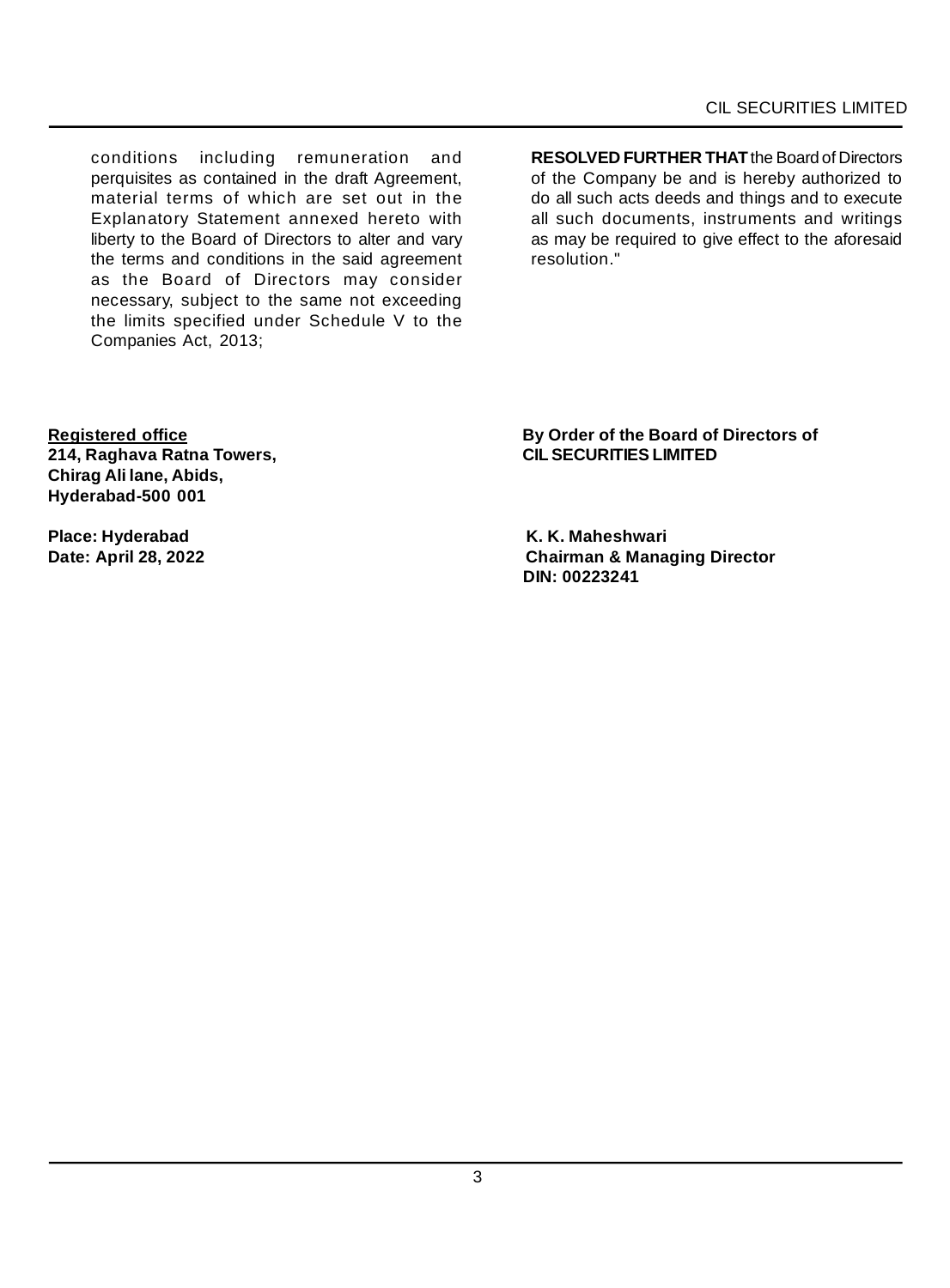conditions including remuneration and perquisites as contained in the draft Agreement, material terms of which are set out in the Explanatory Statement annexed hereto with liberty to the Board of Directors to alter and vary the terms and conditions in the said agreement as the Board of Directors may consider necessary, subject to the same not exceeding the limits specified under Schedule V to the Companies Act, 2013;

**RESOLVED FURTHER THAT** the Board of Directors of the Company be and is hereby authorized to do all such acts deeds and things and to execute all such documents, instruments and writings as may be required to give effect to the aforesaid resolution."

**214, Raghava Ratna Towers, Chirag Ali lane, Abids, Hyderabad-500 001**

**Place: Hyderabad K. K. Maheshwari**

**Registered office By Order of the Board of Directors of**

**Chairman & Managing Director DIN: 00223241**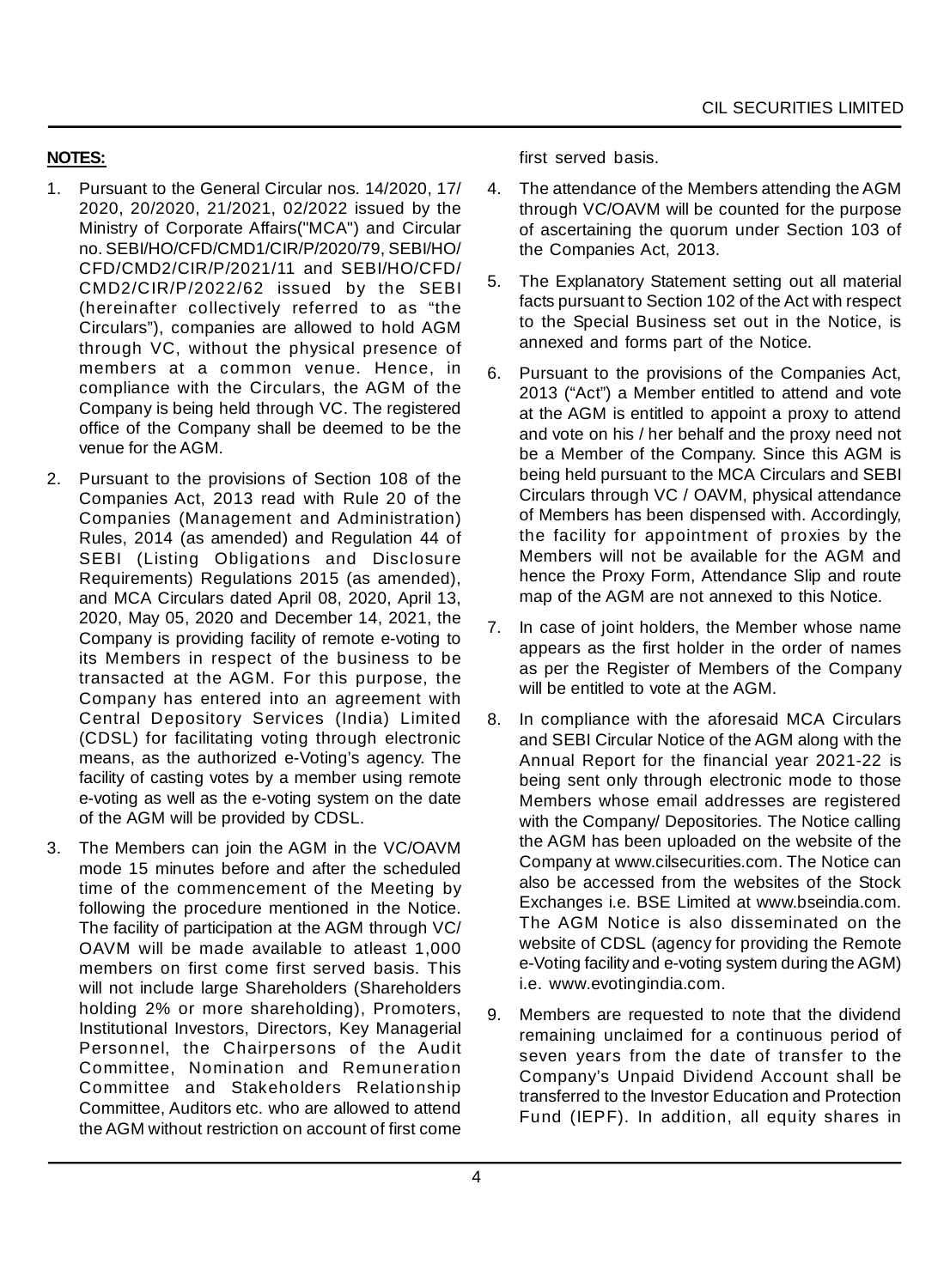# **NOTES:**

- 1. Pursuant to the General Circular nos. 14/2020, 17/ 2020, 20/2020, 21/2021, 02/2022 issued by the Ministry of Corporate Affairs("MCA") and Circular no. SEBI/HO/CFD/CMD1/CIR/P/2020/79, SEBI/HO/ CFD/CMD2/CIR/P/2021/11 and SEBI/HO/CFD/ CMD2/CIR/P/2022/62 issued by the SEBI (hereinafter collectively referred to as "the Circulars"), companies are allowed to hold AGM through VC, without the physical presence of members at a common venue. Hence, in compliance with the Circulars, the AGM of the Company is being held through VC. The registered office of the Company shall be deemed to be the venue for the AGM.
- 2. Pursuant to the provisions of Section 108 of the Companies Act, 2013 read with Rule 20 of the Companies (Management and Administration) Rules, 2014 (as amended) and Regulation 44 of SEBI (Listing Obligations and Disclosure Requirements) Regulations 2015 (as amended), and MCA Circulars dated April 08, 2020, April 13, 2020, May 05, 2020 and December 14, 2021, the Company is providing facility of remote e-voting to its Members in respect of the business to be transacted at the AGM. For this purpose, the Company has entered into an agreement with Central Depository Services (India) Limited (CDSL) for facilitating voting through electronic means, as the authorized e-Voting's agency. The facility of casting votes by a member using remote e-voting as well as the e-voting system on the date of the AGM will be provided by CDSL.
- 3. The Members can join the AGM in the VC/OAVM mode 15 minutes before and after the scheduled time of the commencement of the Meeting by following the procedure mentioned in the Notice. The facility of participation at the AGM through VC/ OAVM will be made available to atleast 1,000 members on first come first served basis. This will not include large Shareholders (Shareholders holding 2% or more shareholding), Promoters, Institutional Investors, Directors, Key Managerial Personnel, the Chairpersons of the Audit Committee, Nomination and Remuneration Committee and Stakeholders Relationship Committee, Auditors etc. who are allowed to attend the AGM without restriction on account of first come

first served basis.

- 4. The attendance of the Members attending the AGM through VC/OAVM will be counted for the purpose of ascertaining the quorum under Section 103 of the Companies Act, 2013.
- 5. The Explanatory Statement setting out all material facts pursuant to Section 102 of the Act with respect to the Special Business set out in the Notice, is annexed and forms part of the Notice.
- 6. Pursuant to the provisions of the Companies Act, 2013 ("Act") a Member entitled to attend and vote at the AGM is entitled to appoint a proxy to attend and vote on his / her behalf and the proxy need not be a Member of the Company. Since this AGM is being held pursuant to the MCA Circulars and SEBI Circulars through VC / OAVM, physical attendance of Members has been dispensed with. Accordingly, the facility for appointment of proxies by the Members will not be available for the AGM and hence the Proxy Form, Attendance Slip and route map of the AGM are not annexed to this Notice.
- 7. In case of joint holders, the Member whose name appears as the first holder in the order of names as per the Register of Members of the Company will be entitled to vote at the AGM.
- 8. In compliance with the aforesaid MCA Circulars and SEBI Circular Notice of the AGM along with the Annual Report for the financial year 2021-22 is being sent only through electronic mode to those Members whose email addresses are registered with the Company/ Depositories. The Notice calling the AGM has been uploaded on the website of the Company at www.cilsecurities.com. The Notice can also be accessed from the websites of the Stock Exchanges i.e. BSE Limited at www.bseindia.com. The AGM Notice is also disseminated on the website of CDSL (agency for providing the Remote e-Voting facility and e-voting system during the AGM) i.e. www.evotingindia.com.
- 9. Members are requested to note that the dividend remaining unclaimed for a continuous period of seven years from the date of transfer to the Company's Unpaid Dividend Account shall be transferred to the Investor Education and Protection Fund (IEPF). In addition, all equity shares in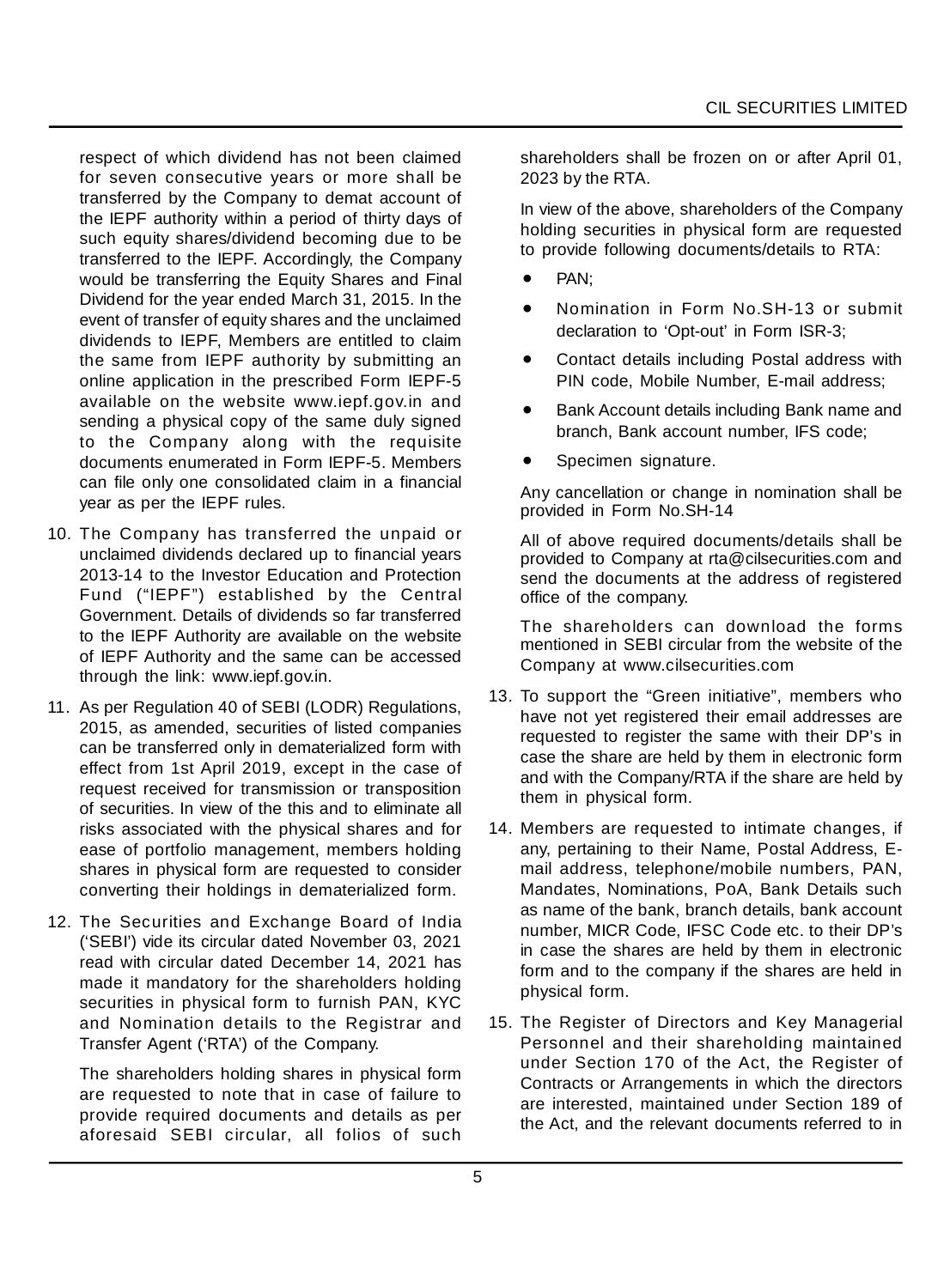respect of which dividend has not been claimed for seven consecutive years or more shall be transferred by the Company to demat account of the IEPF authority within a period of thirty days of such equity shares/dividend becoming due to be transferred to the IEPF. Accordingly, the Company would be transferring the Equity Shares and Final Dividend for the year ended March 31, 2015. In the event of transfer of equity shares and the unclaimed dividends to IEPF, Members are entitled to claim the same from IEPF authority by submitting an online application in the prescribed Form IEPF-5 available on the website www.iepf.gov.in and sending a physical copy of the same duly signed to the Company along with the requisite documents enumerated in Form IEPF-5. Members can file only one consolidated claim in a financial year as per the IEPF rules.

- 10. The Company has transferred the unpaid or unclaimed dividends declared up to financial years 2013-14 to the Investor Education and Protection Fund ("IEPF") established by the Central Government. Details of dividends so far transferred to the IEPF Authority are available on the website of IEPF Authority and the same can be accessed through the link: www.iepf.gov.in.
- 11. As per Regulation 40 of SEBI (LODR) Regulations, 2015, as amended, securities of listed companies can be transferred only in dematerialized form with effect from 1st April 2019, except in the case of request received for transmission or transposition of securities. In view of the this and to eliminate all risks associated with the physical shares and for ease of portfolio management, members holding shares in physical form are requested to consider converting their holdings in dematerialized form.
- 12. The Securities and Exchange Board of India ('SEBI') vide its circular dated November 03, 2021 read with circular dated December 14, 2021 has made it mandatory for the shareholders holding securities in physical form to furnish PAN, KYC and Nomination details to the Registrar and Transfer Agent ('RTA') of the Company.

The shareholders holding shares in physical form are requested to note that in case of failure to provide required documents and details as per aforesaid SEBI circular, all folios of such shareholders shall be frozen on or after April 01, 2023 by the RTA.

In view of the above, shareholders of the Company holding securities in physical form are requested to provide following documents/details to RTA:

- PAN;
- Nomination in Form No.SH-13 or submit declaration to 'Opt-out' in Form ISR-3;
- Contact details including Postal address with PIN code, Mobile Number, E-mail address;
- Bank Account details including Bank name and branch, Bank account number, IFS code;
- Specimen signature.

Any cancellation or change in nomination shall be provided in Form No.SH-14

All of above required documents/details shall be provided to Company at rta@cilsecurities.com and send the documents at the address of registered office of the company.

The shareholders can download the forms mentioned in SEBI circular from the website of the Company at www.cilsecurities.com

- 13. To support the "Green initiative", members who have not yet registered their email addresses are requested to register the same with their DP's in case the share are held by them in electronic form and with the Company/RTA if the share are held by them in physical form.
- 14. Members are requested to intimate changes, if any, pertaining to their Name, Postal Address, Email address, telephone/mobile numbers, PAN, Mandates, Nominations, PoA, Bank Details such as name of the bank, branch details, bank account number, MICR Code, IFSC Code etc. to their DP's in case the shares are held by them in electronic form and to the company if the shares are held in physical form.
- 15. The Register of Directors and Key Managerial Personnel and their shareholding maintained under Section 170 of the Act, the Register of Contracts or Arrangements in which the directors are interested, maintained under Section 189 of the Act, and the relevant documents referred to in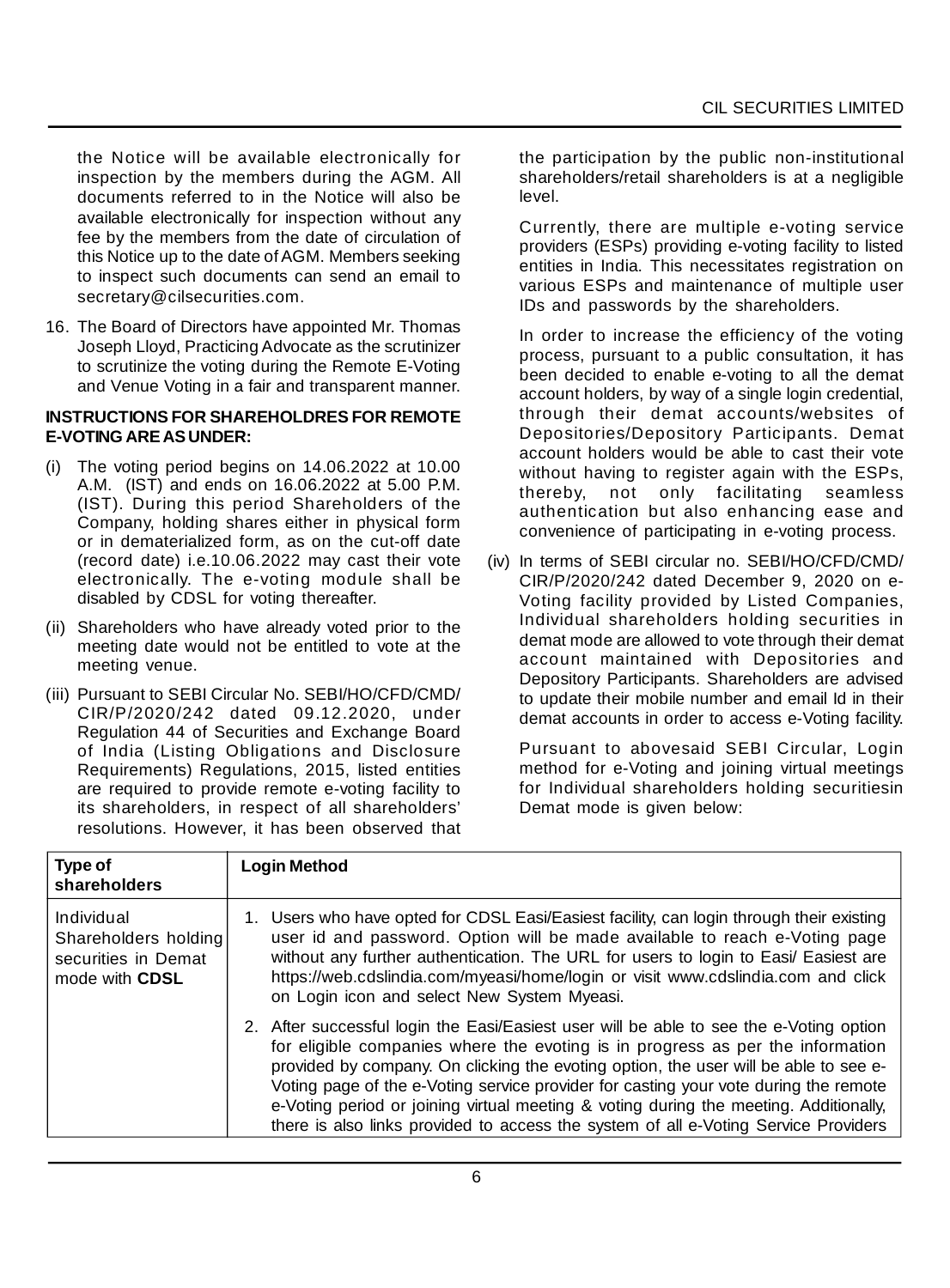the Notice will be available electronically for inspection by the members during the AGM. All documents referred to in the Notice will also be available electronically for inspection without any fee by the members from the date of circulation of this Notice up to the date of AGM. Members seeking to inspect such documents can send an email to secretary@cilsecurities.com.

16. The Board of Directors have appointed Mr. Thomas Joseph Lloyd, Practicing Advocate as the scrutinizer to scrutinize the voting during the Remote E-Voting and Venue Voting in a fair and transparent manner.

#### **INSTRUCTIONS FOR SHAREHOLDRES FOR REMOTE E-VOTING ARE AS UNDER:**

- (i) The voting period begins on 14.06.2022 at 10.00 A.M. (IST) and ends on 16.06.2022 at 5.00 P.M. (IST). During this period Shareholders of the Company, holding shares either in physical form or in dematerialized form, as on the cut-off date (record date) i.e.10.06.2022 may cast their vote electronically. The e-voting module shall be disabled by CDSL for voting thereafter.
- (ii) Shareholders who have already voted prior to the meeting date would not be entitled to vote at the meeting venue.
- (iii) Pursuant to SEBI Circular No. SEBI/HO/CFD/CMD/ CIR/P/2020/242 dated 09.12.2020, under Regulation 44 of Securities and Exchange Board of India (Listing Obligations and Disclosure Requirements) Regulations, 2015, listed entities are required to provide remote e-voting facility to its shareholders, in respect of all shareholders' resolutions. However, it has been observed that

the participation by the public non-institutional shareholders/retail shareholders is at a negligible level.

Currently, there are multiple e-voting service providers (ESPs) providing e-voting facility to listed entities in India. This necessitates registration on various ESPs and maintenance of multiple user IDs and passwords by the shareholders.

In order to increase the efficiency of the voting process, pursuant to a public consultation, it has been decided to enable e-voting to all the demat account holders, by way of a single login credential, through their demat accounts/websites of Depositories/Depository Participants. Demat account holders would be able to cast their vote without having to register again with the ESPs, thereby, not only facilitating seamless authentication but also enhancing ease and convenience of participating in e-voting process.

(iv) In terms of SEBI circular no. SEBI/HO/CFD/CMD/ CIR/P/2020/242 dated December 9, 2020 on e-Voting facility provided by Listed Companies, Individual shareholders holding securities in demat mode are allowed to vote through their demat account maintained with Depositories and Depository Participants. Shareholders are advised to update their mobile number and email Id in their demat accounts in order to access e-Voting facility.

Pursuant to abovesaid SEBI Circular, Login method for e-Voting and joining virtual meetings for Individual shareholders holding securitiesin Demat mode is given below:

| Type of<br>shareholders                                                            | <b>Login Method</b>                                                                                                                                                                                                                                                                                                                                                                                                                                                                                                                       |
|------------------------------------------------------------------------------------|-------------------------------------------------------------------------------------------------------------------------------------------------------------------------------------------------------------------------------------------------------------------------------------------------------------------------------------------------------------------------------------------------------------------------------------------------------------------------------------------------------------------------------------------|
| Individual<br>Shareholders holding<br>securities in Demat<br>mode with <b>CDSL</b> | 1. Users who have opted for CDSL Easi/Easiest facility, can login through their existing<br>user id and password. Option will be made available to reach e-Voting page<br>without any further authentication. The URL for users to login to Easi/ Easiest are<br>https://web.cdslindia.com/myeasi/home/login or visit www.cdslindia.com and click<br>on Login icon and select New System Myeasi.                                                                                                                                          |
|                                                                                    | 2. After successful login the Easi/Easiest user will be able to see the e-Voting option<br>for eligible companies where the evoting is in progress as per the information<br>provided by company. On clicking the evoting option, the user will be able to see e-<br>Voting page of the e-Voting service provider for casting your vote during the remote<br>e-Voting period or joining virtual meeting & voting during the meeting. Additionally,<br>there is also links provided to access the system of all e-Voting Service Providers |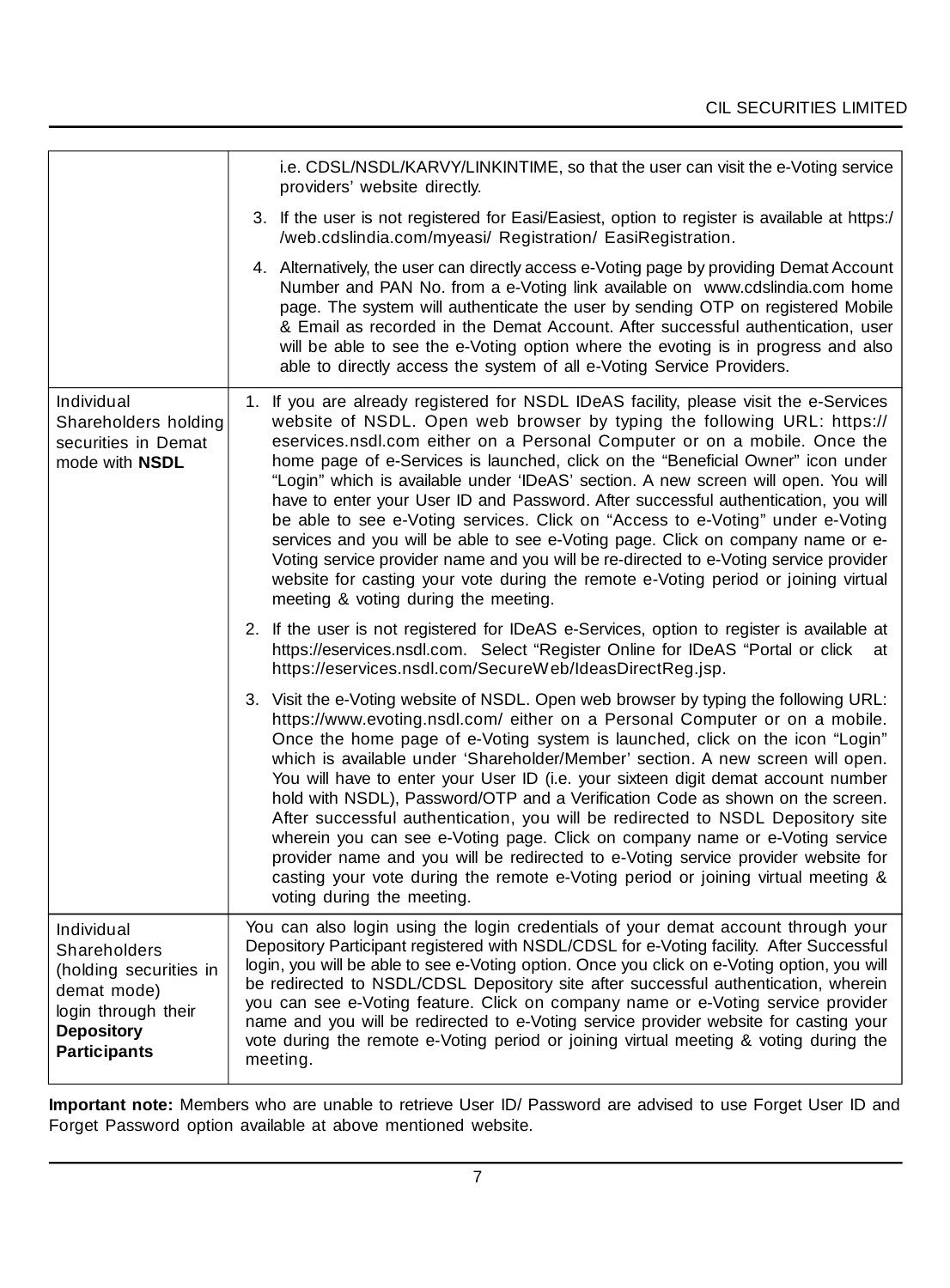|                                                                                                                                        | i.e. CDSL/NSDL/KARVY/LINKINTIME, so that the user can visit the e-Voting service<br>providers' website directly.                                                                                                                                                                                                                                                                                                                                                                                                                                                                                                                                                                                                                                                                                                                                                                                         |  |
|----------------------------------------------------------------------------------------------------------------------------------------|----------------------------------------------------------------------------------------------------------------------------------------------------------------------------------------------------------------------------------------------------------------------------------------------------------------------------------------------------------------------------------------------------------------------------------------------------------------------------------------------------------------------------------------------------------------------------------------------------------------------------------------------------------------------------------------------------------------------------------------------------------------------------------------------------------------------------------------------------------------------------------------------------------|--|
|                                                                                                                                        | 3. If the user is not registered for Easi/Easiest, option to register is available at https:/<br>/web.cdslindia.com/myeasi/ Registration/ EasiRegistration.                                                                                                                                                                                                                                                                                                                                                                                                                                                                                                                                                                                                                                                                                                                                              |  |
|                                                                                                                                        | 4. Alternatively, the user can directly access e-Voting page by providing Demat Account<br>Number and PAN No. from a e-Voting link available on www.cdslindia.com home<br>page. The system will authenticate the user by sending OTP on registered Mobile<br>& Email as recorded in the Demat Account. After successful authentication, user<br>will be able to see the e-Voting option where the evoting is in progress and also<br>able to directly access the system of all e-Voting Service Providers.                                                                                                                                                                                                                                                                                                                                                                                               |  |
| Individual<br>Shareholders holding<br>securities in Demat<br>mode with <b>NSDL</b>                                                     | 1. If you are already registered for NSDL IDeAS facility, please visit the e-Services<br>website of NSDL. Open web browser by typing the following URL: https://<br>eservices.nsdl.com either on a Personal Computer or on a mobile. Once the<br>home page of e-Services is launched, click on the "Beneficial Owner" icon under<br>"Login" which is available under 'IDeAS' section. A new screen will open. You will<br>have to enter your User ID and Password. After successful authentication, you will<br>be able to see e-Voting services. Click on "Access to e-Voting" under e-Voting<br>services and you will be able to see e-Voting page. Click on company name or e-<br>Voting service provider name and you will be re-directed to e-Voting service provider<br>website for casting your vote during the remote e-Voting period or joining virtual<br>meeting & voting during the meeting. |  |
|                                                                                                                                        | 2. If the user is not registered for IDeAS e-Services, option to register is available at<br>https://eservices.nsdl.com. Select "Register Online for IDeAS "Portal or click<br>at<br>https://eservices.nsdl.com/SecureWeb/IdeasDirectReg.jsp.                                                                                                                                                                                                                                                                                                                                                                                                                                                                                                                                                                                                                                                            |  |
|                                                                                                                                        | 3. Visit the e-Voting website of NSDL. Open web browser by typing the following URL:<br>https://www.evoting.nsdl.com/ either on a Personal Computer or on a mobile.<br>Once the home page of e-Voting system is launched, click on the icon "Login"<br>which is available under 'Shareholder/Member' section. A new screen will open.<br>You will have to enter your User ID (i.e. your sixteen digit demat account number<br>hold with NSDL), Password/OTP and a Verification Code as shown on the screen.<br>After successful authentication, you will be redirected to NSDL Depository site<br>wherein you can see e-Voting page. Click on company name or e-Voting service<br>provider name and you will be redirected to e-Voting service provider website for<br>casting your vote during the remote e-Voting period or joining virtual meeting &<br>voting during the meeting.                    |  |
| Individual<br>Shareholders<br>(holding securities in<br>demat mode)<br>login through their<br><b>Depository</b><br><b>Participants</b> | You can also login using the login credentials of your demat account through your<br>Depository Participant registered with NSDL/CDSL for e-Voting facility. After Successful<br>login, you will be able to see e-Voting option. Once you click on e-Voting option, you will<br>be redirected to NSDL/CDSL Depository site after successful authentication, wherein<br>you can see e-Voting feature. Click on company name or e-Voting service provider<br>name and you will be redirected to e-Voting service provider website for casting your<br>vote during the remote e-Voting period or joining virtual meeting & voting during the<br>meeting.                                                                                                                                                                                                                                                    |  |

**Important note:** Members who are unable to retrieve User ID/ Password are advised to use Forget User ID and Forget Password option available at above mentioned website.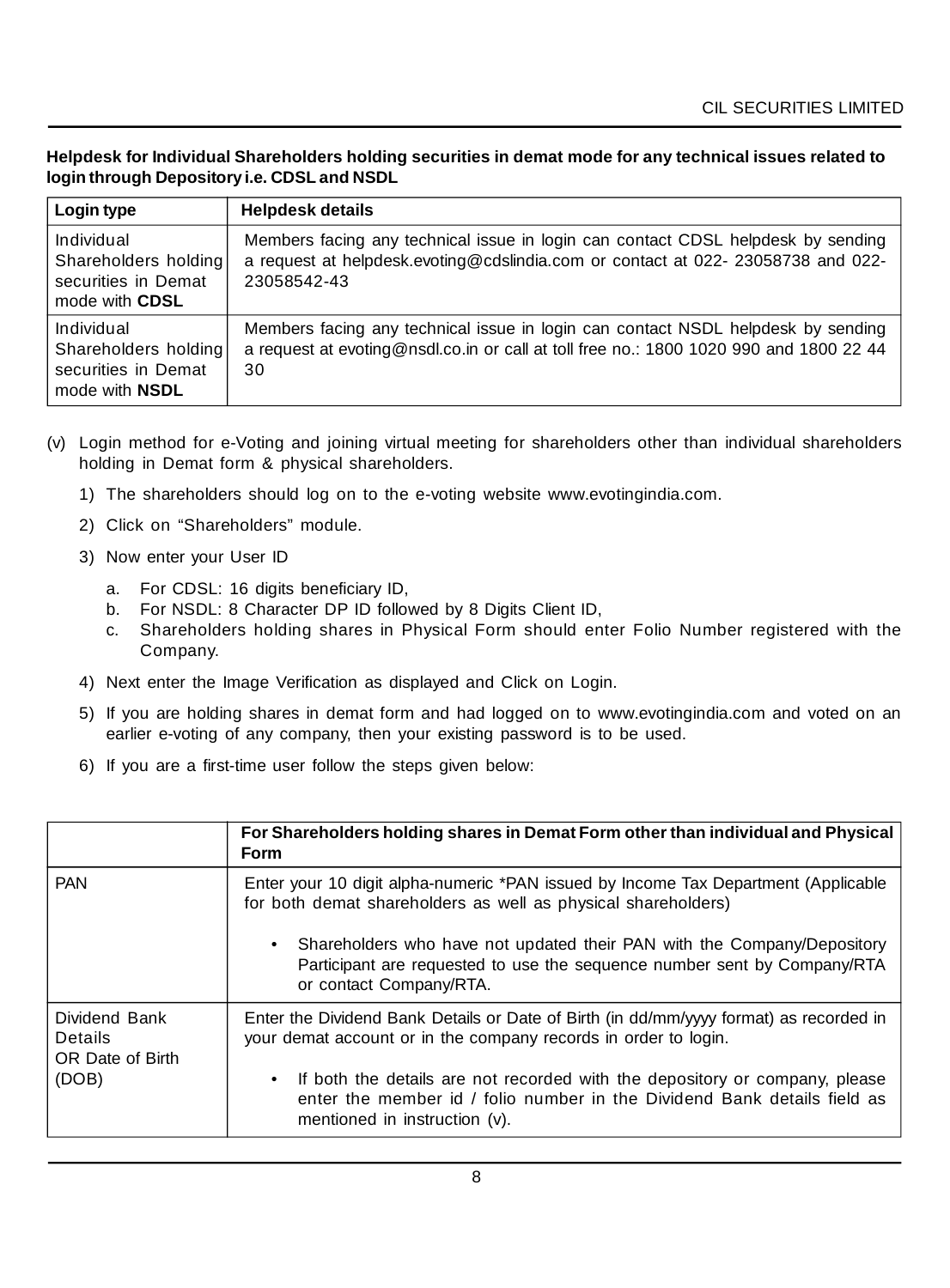**Helpdesk for Individual Shareholders holding securities in demat mode for any technical issues related to login through Depository i.e. CDSL and NSDL**

| Login type                                                                         | <b>Helpdesk details</b>                                                                                                                                                             |
|------------------------------------------------------------------------------------|-------------------------------------------------------------------------------------------------------------------------------------------------------------------------------------|
| Individual<br>Shareholders holding<br>securities in Demat<br>mode with <b>CDSL</b> | Members facing any technical issue in login can contact CDSL helpdesk by sending<br>a request at helpdesk evoting @cdslindia.com or contact at 022-23058738 and 022-<br>23058542-43 |
| Individual<br>Shareholders holding<br>securities in Demat<br>mode with <b>NSDL</b> | Members facing any technical issue in login can contact NSDL helpdesk by sending<br>a request at evoting@nsdl.co.in or call at toll free no.: 1800 1020 990 and 1800 22 44<br>30    |

- (v) Login method for e-Voting and joining virtual meeting for shareholders other than individual shareholders holding in Demat form & physical shareholders.
	- 1) The shareholders should log on to the e-voting website www.evotingindia.com.
	- 2) Click on "Shareholders" module.
	- 3) Now enter your User ID
		- a. For CDSL: 16 digits beneficiary ID,
		- b. For NSDL: 8 Character DP ID followed by 8 Digits Client ID,
		- c. Shareholders holding shares in Physical Form should enter Folio Number registered with the Company.
	- 4) Next enter the Image Verification as displayed and Click on Login.
	- 5) If you are holding shares in demat form and had logged on to www.evotingindia.com and voted on an earlier e-voting of any company, then your existing password is to be used.
	- 6) If you are a first-time user follow the steps given below:

|                                              | For Shareholders holding shares in Demat Form other than individual and Physical<br><b>Form</b>                                                                                          |
|----------------------------------------------|------------------------------------------------------------------------------------------------------------------------------------------------------------------------------------------|
| <b>PAN</b>                                   | Enter your 10 digit alpha-numeric *PAN issued by Income Tax Department (Applicable<br>for both demat shareholders as well as physical shareholders)                                      |
|                                              | Shareholders who have not updated their PAN with the Company/Depository<br>Participant are requested to use the sequence number sent by Company/RTA<br>or contact Company/RTA.           |
| Dividend Bank<br>Details<br>OR Date of Birth | Enter the Dividend Bank Details or Date of Birth (in dd/mm/yyyy format) as recorded in<br>your demat account or in the company records in order to login.                                |
| (DOB)                                        | If both the details are not recorded with the depository or company, please<br>enter the member id / folio number in the Dividend Bank details field as<br>mentioned in instruction (v). |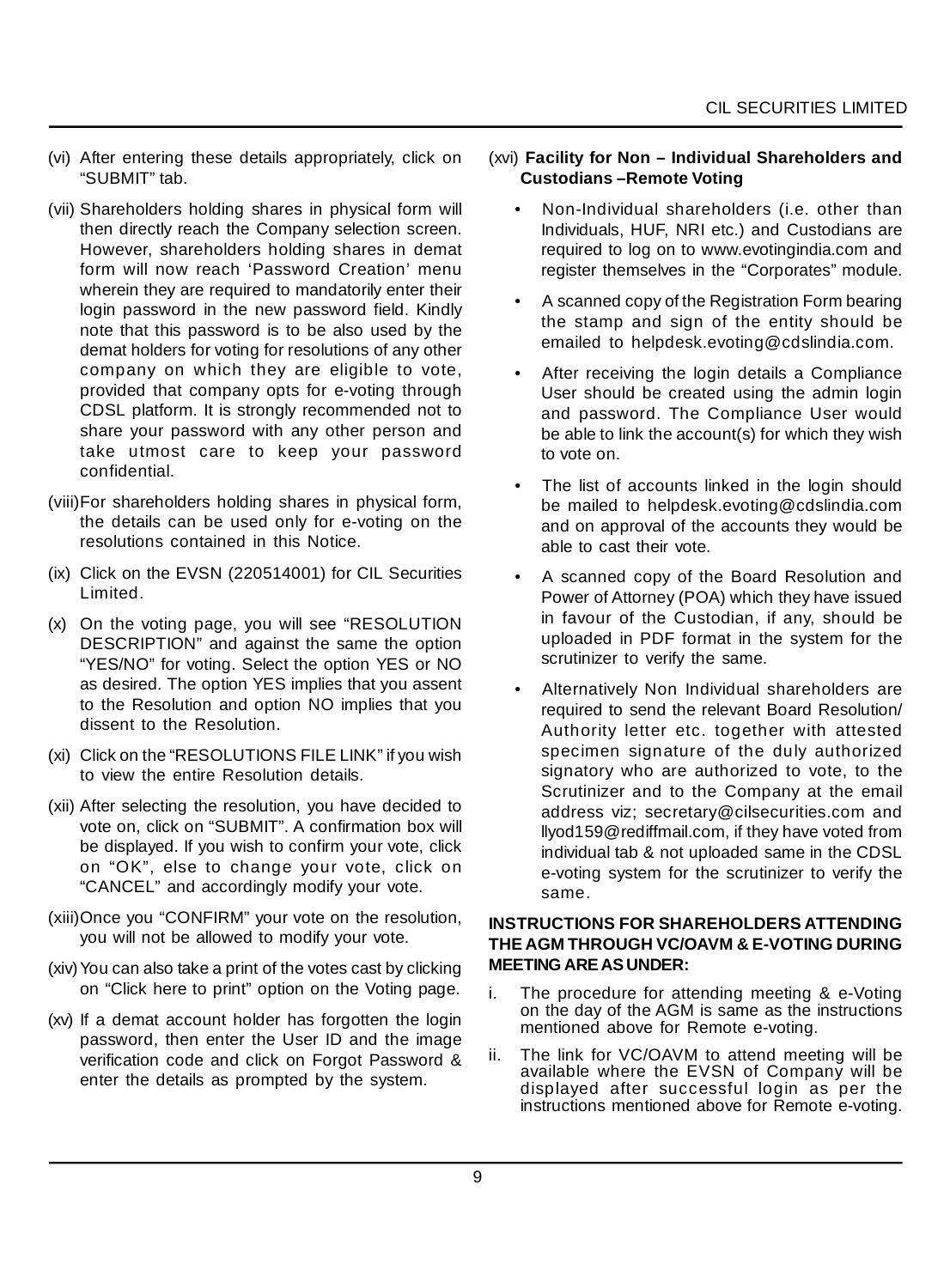- (vi) After entering these details appropriately, click on "SUBMIT" tab.
- (vii) Shareholders holding shares in physical form will then directly reach the Company selection screen. However, shareholders holding shares in demat form will now reach 'Password Creation' menu wherein they are required to mandatorily enter their login password in the new password field. Kindly note that this password is to be also used by the demat holders for voting for resolutions of any other company on which they are eligible to vote, provided that company opts for e-voting through CDSL platform. It is strongly recommended not to share your password with any other person and take utmost care to keep your password confidential.
- (viii)For shareholders holding shares in physical form, the details can be used only for e-voting on the resolutions contained in this Notice.
- (ix) Click on the EVSN (220514001) for CIL Securities Limited.
- (x) On the voting page, you will see "RESOLUTION DESCRIPTION" and against the same the option "YES/NO" for voting. Select the option YES or NO as desired. The option YES implies that you assent to the Resolution and option NO implies that you dissent to the Resolution.
- (xi) Click on the "RESOLUTIONS FILE LINK" if you wish to view the entire Resolution details.
- (xii) After selecting the resolution, you have decided to vote on, click on "SUBMIT". A confirmation box will be displayed. If you wish to confirm your vote, click on "OK", else to change your vote, click on "CANCEL" and accordingly modify your vote.
- (xiii)Once you "CONFIRM" your vote on the resolution, you will not be allowed to modify your vote.
- (xiv) You can also take a print of the votes cast by clicking on "Click here to print" option on the Voting page.
- (xv) If a demat account holder has forgotten the login password, then enter the User ID and the image verification code and click on Forgot Password & enter the details as prompted by the system.

#### (xvi) **Facility for Non – Individual Shareholders and Custodians –Remote Voting**

- Non-Individual shareholders (i.e. other than Individuals, HUF, NRI etc.) and Custodians are required to log on to www.evotingindia.com and register themselves in the "Corporates" module.
- A scanned copy of the Registration Form bearing the stamp and sign of the entity should be emailed to helpdesk.evoting@cdslindia.com.
- After receiving the login details a Compliance User should be created using the admin login and password. The Compliance User would be able to link the account(s) for which they wish to vote on.
- The list of accounts linked in the login should be mailed to helpdesk.evoting@cdslindia.com and on approval of the accounts they would be able to cast their vote.
- A scanned copy of the Board Resolution and Power of Attorney (POA) which they have issued in favour of the Custodian, if any, should be uploaded in PDF format in the system for the scrutinizer to verify the same.
- Alternatively Non Individual shareholders are required to send the relevant Board Resolution/ Authority letter etc. together with attested specimen signature of the duly authorized signatory who are authorized to vote, to the Scrutinizer and to the Company at the email address viz; secretary@cilsecurities.com and llyod159@rediffmail.com, if they have voted from individual tab & not uploaded same in the CDSL e-voting system for the scrutinizer to verify the same.

#### **INSTRUCTIONS FOR SHAREHOLDERS ATTENDING THE AGM THROUGH VC/OAVM & E-VOTING DURING MEETING ARE AS UNDER:**

- i. The procedure for attending meeting & e-Voting on the day of the AGM is same as the instructions mentioned above for Remote e-voting.
- ii. The link for VC/OAVM to attend meeting will be available where the EVSN of Company will be displayed after successful login as per the instructions mentioned above for Remote e-voting.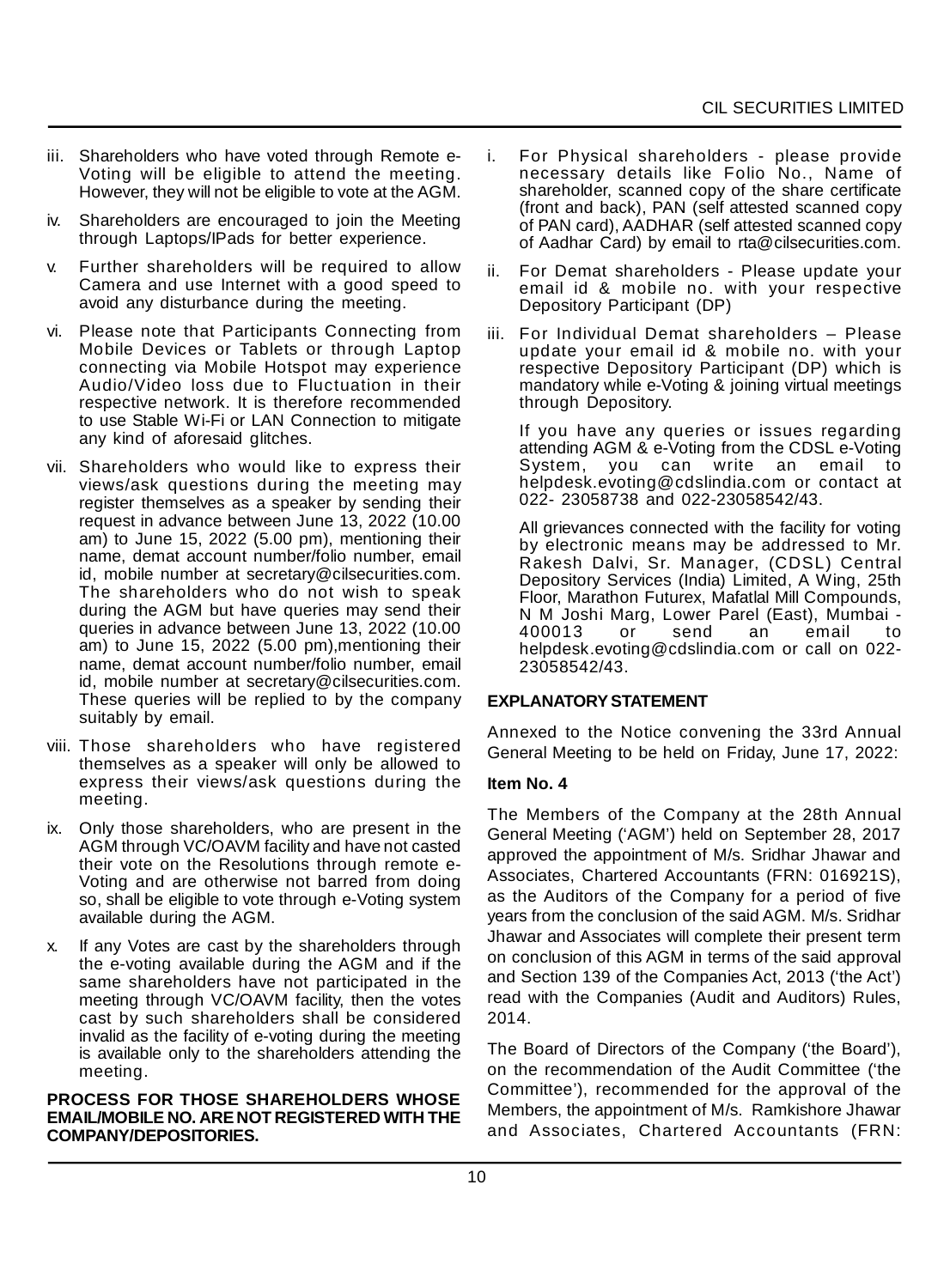- iii. Shareholders who have voted through Remote e-Voting will be eligible to attend the meeting. However, they will not be eligible to vote at the AGM.
- iv. Shareholders are encouraged to join the Meeting through Laptops/IPads for better experience.
- v. Further shareholders will be required to allow Camera and use Internet with a good speed to avoid any disturbance during the meeting.
- vi. Please note that Participants Connecting from Mobile Devices or Tablets or through Laptop connecting via Mobile Hotspot may experience Audio/Video loss due to Fluctuation in their respective network. It is therefore recommended to use Stable Wi-Fi or LAN Connection to mitigate any kind of aforesaid glitches.
- vii. Shareholders who would like to express their views/ask questions during the meeting may register themselves as a speaker by sending their request in advance between June 13, 2022 (10.00 am) to June 15, 2022 (5.00 pm), mentioning their name, demat account number/folio number, email id, mobile number at secretary@cilsecurities.com. The shareholders who do not wish to speak during the AGM but have queries may send their queries in advance between June 13, 2022 (10.00 am) to June 15, 2022 (5.00 pm),mentioning their name, demat account number/folio number, email id, mobile number at secretary@cilsecurities.com. These queries will be replied to by the company suitably by email.
- viii. Those shareholders who have registered themselves as a speaker will only be allowed to express their views/ask questions during the meeting.
- ix. Only those shareholders, who are present in the AGM through VC/OAVM facility and have not casted their vote on the Resolutions through remote e-Voting and are otherwise not barred from doing so, shall be eligible to vote through e-Voting system available during the AGM.
- x. If any Votes are cast by the shareholders through the e-voting available during the AGM and if the same shareholders have not participated in the meeting through VC/OAVM facility, then the votes cast by such shareholders shall be considered invalid as the facility of e-voting during the meeting is available only to the shareholders attending the meeting.

#### **PROCESS FOR THOSE SHAREHOLDERS WHOSE EMAIL/MOBILE NO. ARE NOT REGISTERED WITH THE COMPANY/DEPOSITORIES.**

- i. For Physical shareholders please provide necessary details like Folio No., Name of shareholder, scanned copy of the share certificate (front and back), PAN (self attested scanned copy of PAN card), AADHAR (self attested scanned copy of Aadhar Card) by email to rta@cilsecurities.com.
- ii. For Demat shareholders Please update your email id & mobile no. with your respective Depository Participant (DP)
- iii. For Individual Demat shareholders Please update your email id & mobile no. with your respective Depository Participant (DP) which is mandatory while e-Voting & joining virtual meetings through Depository.

If you have any queries or issues regarding attending AGM & e-Voting from the CDSL e-Voting<br>System, you can write an email to System, you can write an email to helpdesk.evoting@cdslindia.com or contact at 022- 23058738 and 022-23058542/43.

All grievances connected with the facility for voting by electronic means may be addressed to Mr. Rakesh Dalvi, Sr. Manager, (CDSL) Central Depository Services (India) Limited, A Wing, 25th Floor, Marathon Futurex, Mafatlal Mill Compounds, N M Joshi Marg, Lower Parel (East), Mumbai - 400013 or send an email to helpdesk.evoting@cdslindia.com or call on 022- 23058542/43.

#### **EXPLANATORY STATEMENT**

Annexed to the Notice convening the 33rd Annual General Meeting to be held on Friday, June 17, 2022:

#### **Item No. 4**

The Members of the Company at the 28th Annual General Meeting ('AGM') held on September 28, 2017 approved the appointment of M/s. Sridhar Jhawar and Associates, Chartered Accountants (FRN: 016921S), as the Auditors of the Company for a period of five years from the conclusion of the said AGM. M/s. Sridhar Jhawar and Associates will complete their present term on conclusion of this AGM in terms of the said approval and Section 139 of the Companies Act, 2013 ('the Act') read with the Companies (Audit and Auditors) Rules, 2014.

The Board of Directors of the Company ('the Board'), on the recommendation of the Audit Committee ('the Committee'), recommended for the approval of the Members, the appointment of M/s. Ramkishore Jhawar and Associates, Chartered Accountants (FRN: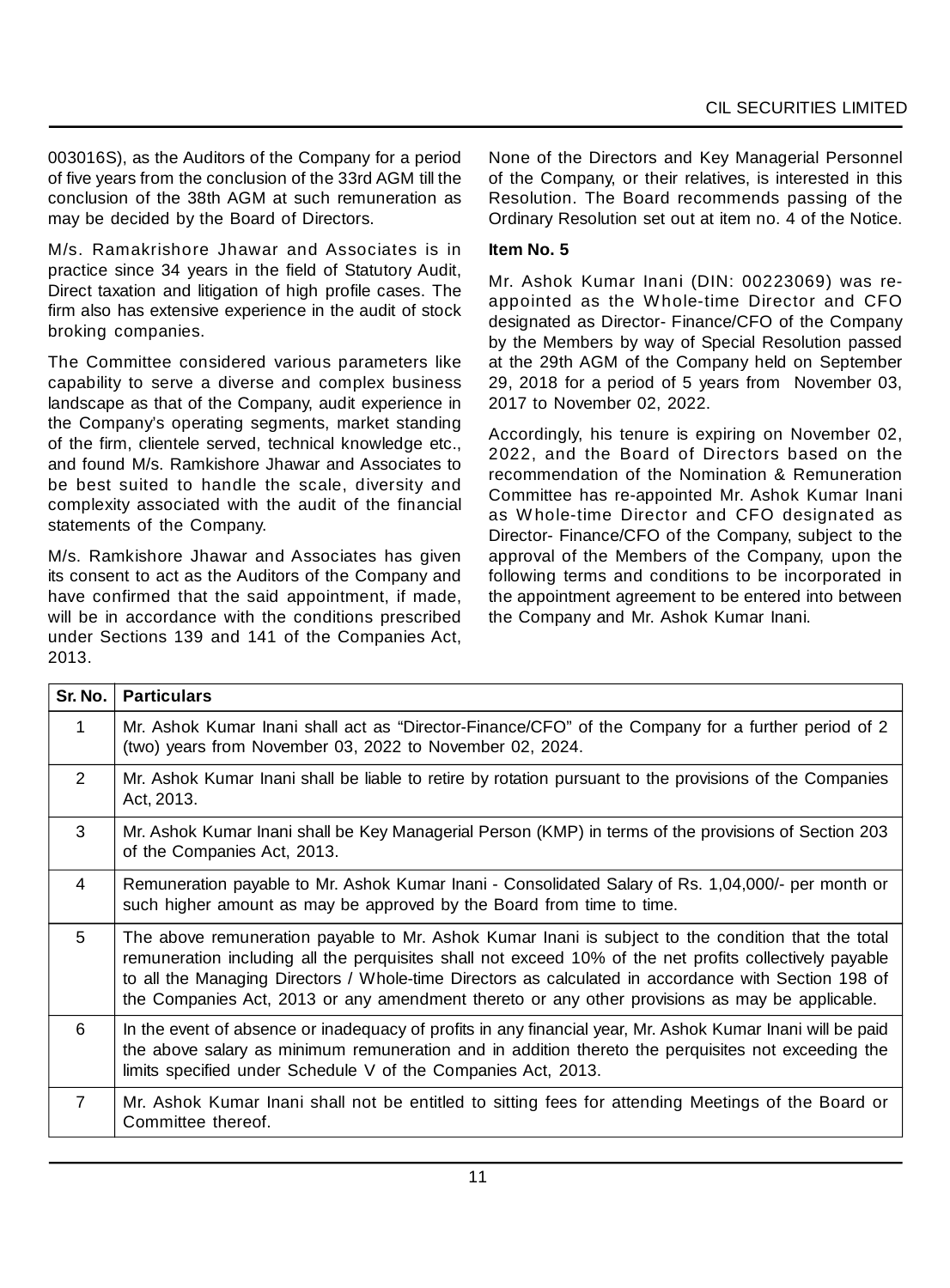003016S), as the Auditors of the Company for a period of five years from the conclusion of the 33rd AGM till the conclusion of the 38th AGM at such remuneration as may be decided by the Board of Directors.

M/s. Ramakrishore Jhawar and Associates is in practice since 34 years in the field of Statutory Audit, Direct taxation and litigation of high profile cases. The firm also has extensive experience in the audit of stock broking companies.

The Committee considered various parameters like capability to serve a diverse and complex business landscape as that of the Company, audit experience in the Company's operating segments, market standing of the firm, clientele served, technical knowledge etc., and found M/s. Ramkishore Jhawar and Associates to be best suited to handle the scale, diversity and complexity associated with the audit of the financial statements of the Company.

M/s. Ramkishore Jhawar and Associates has given its consent to act as the Auditors of the Company and have confirmed that the said appointment, if made, will be in accordance with the conditions prescribed under Sections 139 and 141 of the Companies Act, 2013.

None of the Directors and Key Managerial Personnel of the Company, or their relatives, is interested in this Resolution. The Board recommends passing of the Ordinary Resolution set out at item no. 4 of the Notice.

## **Item No. 5**

Mr. Ashok Kumar Inani (DIN: 00223069) was reappointed as the W hole-time Director and CFO designated as Director- Finance/CFO of the Company by the Members by way of Special Resolution passed at the 29th AGM of the Company held on September 29, 2018 for a period of 5 years from November 03, 2017 to November 02, 2022.

Accordingly, his tenure is expiring on November 02, 2022, and the Board of Directors based on the recommendation of the Nomination & Remuneration Committee has re-appointed Mr. Ashok Kumar Inani as W hole-time Director and CFO designated as Director- Finance/CFO of the Company, subject to the approval of the Members of the Company, upon the following terms and conditions to be incorporated in the appointment agreement to be entered into between the Company and Mr. Ashok Kumar Inani.

| Sr. No.        | <b>Particulars</b>                                                                                                                                                                                                                                                                                                                                                                                                      |  |
|----------------|-------------------------------------------------------------------------------------------------------------------------------------------------------------------------------------------------------------------------------------------------------------------------------------------------------------------------------------------------------------------------------------------------------------------------|--|
| 1              | Mr. Ashok Kumar Inani shall act as "Director-Finance/CFO" of the Company for a further period of 2<br>(two) years from November 03, 2022 to November 02, 2024.                                                                                                                                                                                                                                                          |  |
| $\mathcal{P}$  | Mr. Ashok Kumar Inani shall be liable to retire by rotation pursuant to the provisions of the Companies<br>Act, 2013.                                                                                                                                                                                                                                                                                                   |  |
| 3              | Mr. Ashok Kumar Inani shall be Key Managerial Person (KMP) in terms of the provisions of Section 203<br>of the Companies Act, 2013.                                                                                                                                                                                                                                                                                     |  |
| $\overline{4}$ | Remuneration payable to Mr. Ashok Kumar Inani - Consolidated Salary of Rs. 1,04,000/- per month or<br>such higher amount as may be approved by the Board from time to time.                                                                                                                                                                                                                                             |  |
| 5              | The above remuneration payable to Mr. Ashok Kumar Inani is subject to the condition that the total<br>remuneration including all the perquisites shall not exceed 10% of the net profits collectively payable<br>to all the Managing Directors / Whole-time Directors as calculated in accordance with Section 198 of<br>the Companies Act, 2013 or any amendment thereto or any other provisions as may be applicable. |  |
| 6              | In the event of absence or inadequacy of profits in any financial year, Mr. Ashok Kumar Inani will be paid<br>the above salary as minimum remuneration and in addition thereto the perquisites not exceeding the<br>limits specified under Schedule V of the Companies Act, 2013.                                                                                                                                       |  |
| $\overline{7}$ | Mr. Ashok Kumar Inani shall not be entitled to sitting fees for attending Meetings of the Board or<br>Committee thereof.                                                                                                                                                                                                                                                                                                |  |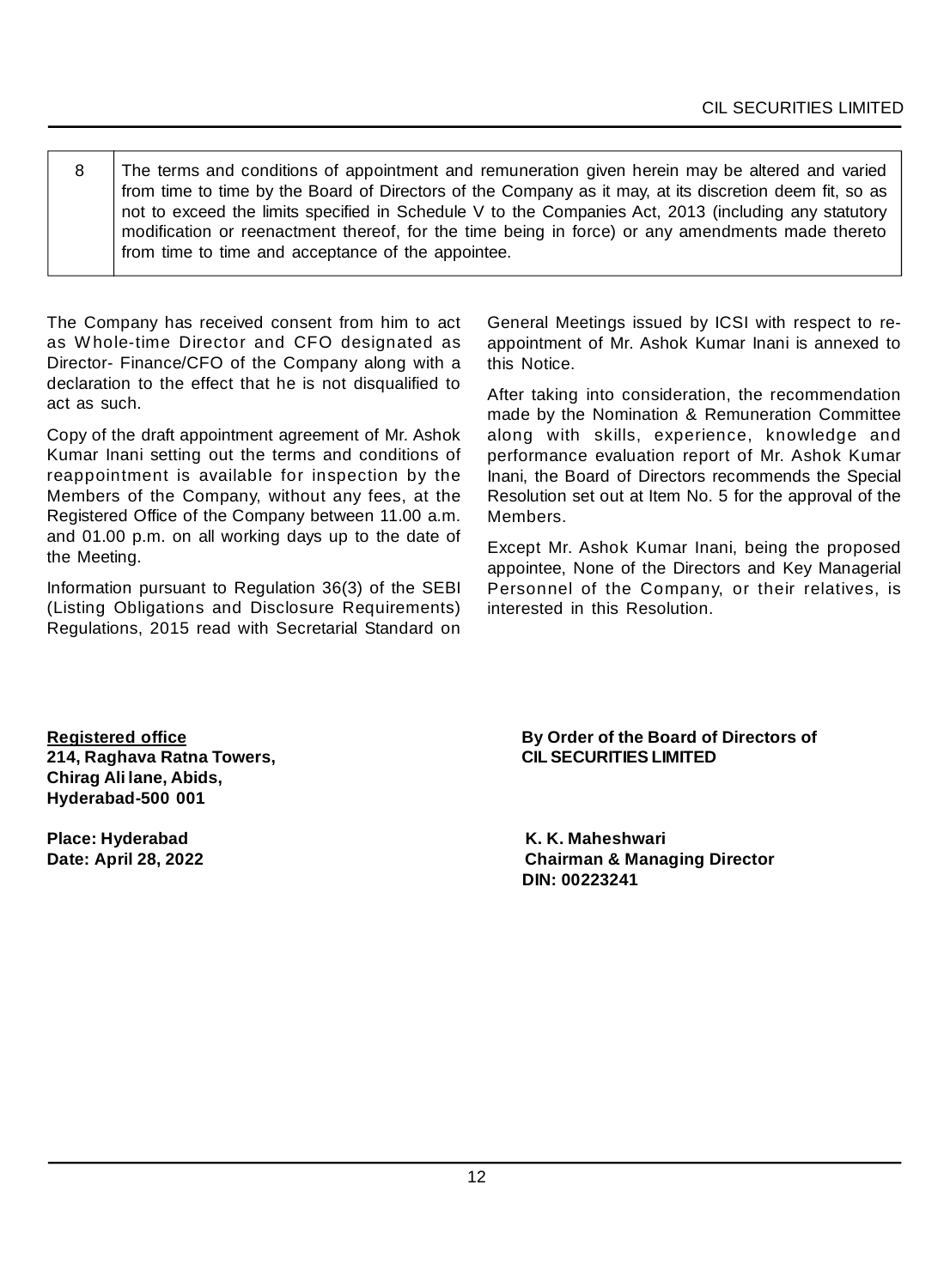8 The terms and conditions of appointment and remuneration given herein may be altered and varied from time to time by the Board of Directors of the Company as it may, at its discretion deem fit, so as not to exceed the limits specified in Schedule V to the Companies Act, 2013 (including any statutory modification or reenactment thereof, for the time being in force) or any amendments made thereto from time to time and acceptance of the appointee.

The Company has received consent from him to act as W hole-time Director and CFO designated as Director- Finance/CFO of the Company along with a declaration to the effect that he is not disqualified to act as such.

Copy of the draft appointment agreement of Mr. Ashok Kumar Inani setting out the terms and conditions of reappointment is available for inspection by the Members of the Company, without any fees, at the Registered Office of the Company between 11.00 a.m. and 01.00 p.m. on all working days up to the date of the Meeting.

Information pursuant to Regulation 36(3) of the SEBI (Listing Obligations and Disclosure Requirements) Regulations, 2015 read with Secretarial Standard on General Meetings issued by ICSI with respect to reappointment of Mr. Ashok Kumar Inani is annexed to this Notice.

After taking into consideration, the recommendation made by the Nomination & Remuneration Committee along with skills, experience, knowledge and performance evaluation report of Mr. Ashok Kumar Inani, the Board of Directors recommends the Special Resolution set out at Item No. 5 for the approval of the Members.

Except Mr. Ashok Kumar Inani, being the proposed appointee, None of the Directors and Key Managerial Personnel of the Company, or their relatives, is interested in this Resolution.

**214, Raghava Ratna Towers, CIL SECURITIES LIMITED Chirag Ali lane, Abids, Hyderabad-500 001**

**Place: Hyderabad K. K. Maheshwari**

**Registered office By Order of the Board of Directors of**

**Date: April 28, 2022 Chairman & Managing Director DIN: 00223241**